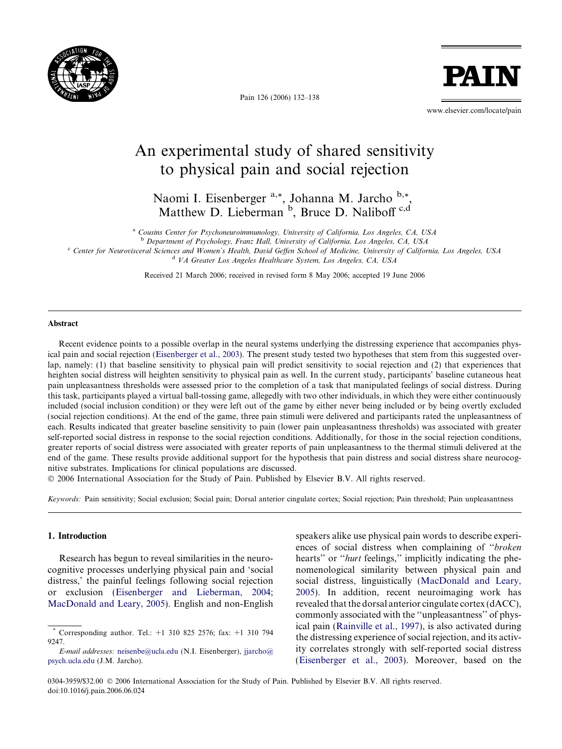

Pain 126 (2006) 132–138

www.elsevier.com/locate/pain

**PAII** 

# An experimental study of shared sensitivity to physical pain and social rejection

Naomi I. Eisenberger<sup>a,\*</sup>, Johanna M. Jarcho <sup>b,\*</sup>, Matthew D. Lieberman <sup>b</sup>, Bruce D. Naliboff c,d

<sup>a</sup> Cousins Center for Psychoneuroimmunology, University of California, Los Angeles, CA, USA

<sup>b</sup> Department of Psychology, Franz Hall, University of California, Los Angeles, CA, USA

<sup>c</sup> Center for Neurovisceral Sciences and Women's Health, David Geffen School of Medicine, University of California, Los Angeles, USA <sup>d</sup> VA Greater Los Angeles Healthcare System, Los Angeles, CA, USA

Received 21 March 2006; received in revised form 8 May 2006; accepted 19 June 2006

#### Abstract

Recent evidence points to a possible overlap in the neural systems underlying the distressing experience that accompanies physical pain and social rejection ([Eisenberger et al., 2003\)](#page-6-0). The present study tested two hypotheses that stem from this suggested overlap, namely: (1) that baseline sensitivity to physical pain will predict sensitivity to social rejection and (2) that experiences that heighten social distress will heighten sensitivity to physical pain as well. In the current study, participants' baseline cutaneous heat pain unpleasantness thresholds were assessed prior to the completion of a task that manipulated feelings of social distress. During this task, participants played a virtual ball-tossing game, allegedly with two other individuals, in which they were either continuously included (social inclusion condition) or they were left out of the game by either never being included or by being overtly excluded (social rejection conditions). At the end of the game, three pain stimuli were delivered and participants rated the unpleasantness of each. Results indicated that greater baseline sensitivity to pain (lower pain unpleasantness thresholds) was associated with greater self-reported social distress in response to the social rejection conditions. Additionally, for those in the social rejection conditions, greater reports of social distress were associated with greater reports of pain unpleasantness to the thermal stimuli delivered at the end of the game. These results provide additional support for the hypothesis that pain distress and social distress share neurocognitive substrates. Implications for clinical populations are discussed.

© 2006 International Association for the Study of Pain. Published by Elsevier B.V. All rights reserved.

Keywords: Pain sensitivity; Social exclusion; Social pain; Dorsal anterior cingulate cortex; Social rejection; Pain threshold; Pain unpleasantness

# 1. Introduction

Research has begun to reveal similarities in the neurocognitive processes underlying physical pain and 'social distress,' the painful feelings following social rejection or exclusion ([Eisenberger and Lieberman, 2004;](#page-6-0) [MacDonald and Leary, 2005\)](#page-6-0). English and non-English

speakers alike use physical pain words to describe experiences of social distress when complaining of ''broken hearts" or "hurt feelings," implicitly indicating the phenomenological similarity between physical pain and social distress, linguistically [\(MacDonald and Leary,](#page-6-0) [2005\)](#page-6-0). In addition, recent neuroimaging work has revealed that the dorsal anterior cingulate cortex (dACC), commonly associated with the ''unpleasantness'' of physical pain [\(Rainville et al., 1997\)](#page-6-0), is also activated during the distressing experience of social rejection, and its activity correlates strongly with self-reported social distress ([Eisenberger et al., 2003](#page-6-0)). Moreover, based on the

0304-3959/\$32.00 © 2006 International Association for the Study of Pain. Published by Elsevier B.V. All rights reserved. doi:10.1016/j.pain.2006.06.024

<sup>\*</sup> Corresponding author. Tel.: +1 310 825 2576; fax: +1 310 794 9247

E-mail addresses: [neisenbe@ucla.edu](mailto:neisenbe@ucla.edu) (N.I. Eisenberger), [jjarcho@](mailto:jjarcho@ psych.ucla.edu) [psych.ucla.edu](mailto:jjarcho@ psych.ucla.edu) (J.M. Jarcho).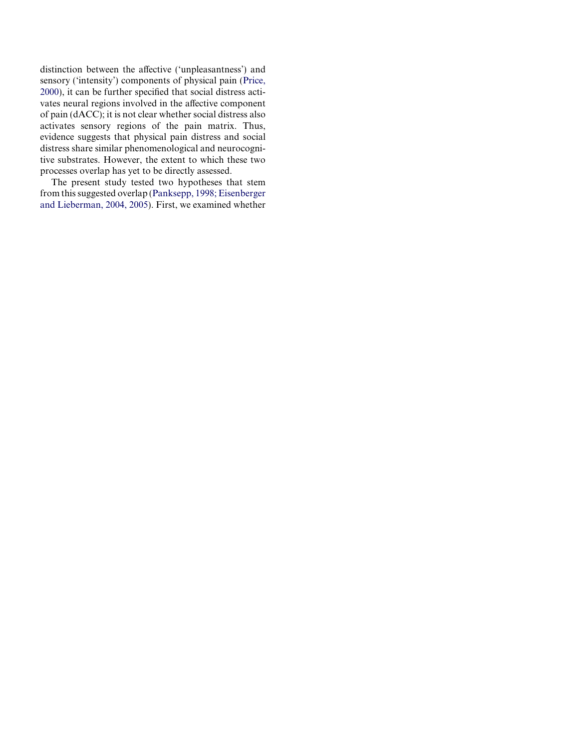distinction between the affective ('unpleasantness') and sensory ('intensity') components of physical pain ([Price,](#page-6-0) [2000](#page-6-0)), it can be further specified that social distress activates neural regions involved in the affective component of pain (dACC); it is not clear whether social distress also activates sensory regions of the pain matrix. Thus, evidence suggests that physical pain distress and social distress share similar phenomenological and neurocognitive substrates. However, the extent to which these two processes overlap has yet to be directly assessed.

The present study tested two hypotheses that stem from this suggested overlap ([Panksepp, 1998; Eisenberger](#page-6-0) [and Lieberman, 2004, 2005\)](#page-6-0). First, we examined whether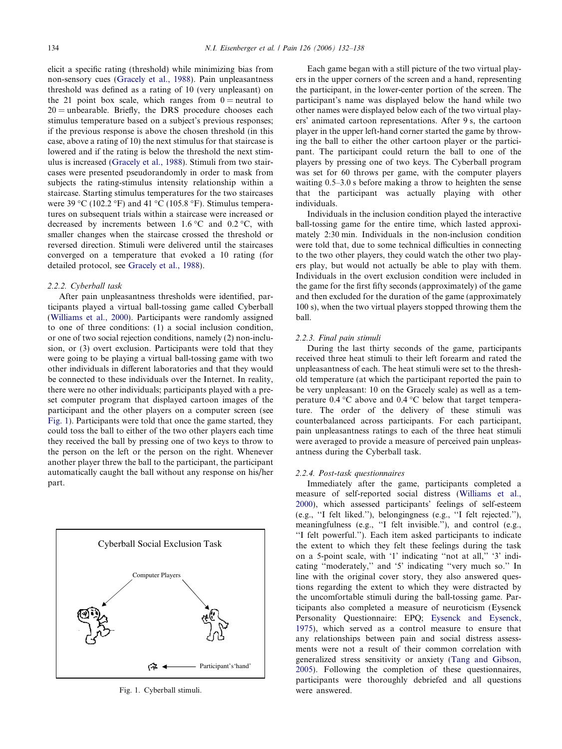elicit a specific rating (threshold) while minimizing bias from non-sensory cues ([Gracely et al., 1988](#page-6-0)). Pain unpleasantness threshold was defined as a rating of 10 (very unpleasant) on the 21 point box scale, which ranges from  $0 =$  neutral to  $20 =$  unbearable. Briefly, the DRS procedure chooses each stimulus temperature based on a subject's previous responses; if the previous response is above the chosen threshold (in this case, above a rating of 10) the next stimulus for that staircase is lowered and if the rating is below the threshold the next stimulus is increased ([Gracely et al., 1988](#page-6-0)). Stimuli from two staircases were presented pseudorandomly in order to mask from subjects the rating-stimulus intensity relationship within a staircase. Starting stimulus temperatures for the two staircases were 39 °C (102.2 °F) and 41 °C (105.8 °F). Stimulus temperatures on subsequent trials within a staircase were increased or decreased by increments between  $1.6^{\circ}$ C and  $0.2^{\circ}$ C, with smaller changes when the staircase crossed the threshold or reversed direction. Stimuli were delivered until the staircases converged on a temperature that evoked a 10 rating (for detailed protocol, see [Gracely et al., 1988\)](#page-6-0).

#### 2.2.2. Cyberball task

After pain unpleasantness thresholds were identified, participants played a virtual ball-tossing game called Cyberball ([Williams et al., 2000\)](#page-6-0). Participants were randomly assigned to one of three conditions: (1) a social inclusion condition, or one of two social rejection conditions, namely (2) non-inclusion, or (3) overt exclusion. Participants were told that they were going to be playing a virtual ball-tossing game with two other individuals in different laboratories and that they would be connected to these individuals over the Internet. In reality, there were no other individuals; participants played with a preset computer program that displayed cartoon images of the participant and the other players on a computer screen (see Fig. 1). Participants were told that once the game started, they could toss the ball to either of the two other players each time they received the ball by pressing one of two keys to throw to the person on the left or the person on the right. Whenever another player threw the ball to the participant, the participant automatically caught the ball without any response on his/her part.



Fig. 1. Cyberball stimuli.

Each game began with a still picture of the two virtual players in the upper corners of the screen and a hand, representing the participant, in the lower-center portion of the screen. The participant's name was displayed below the hand while two other names were displayed below each of the two virtual players' animated cartoon representations. After 9 s, the cartoon player in the upper left-hand corner started the game by throwing the ball to either the other cartoon player or the participant. The participant could return the ball to one of the players by pressing one of two keys. The Cyberball program was set for 60 throws per game, with the computer players waiting 0.5–3.0 s before making a throw to heighten the sense that the participant was actually playing with other individuals.

Individuals in the inclusion condition played the interactive ball-tossing game for the entire time, which lasted approximately 2:30 min. Individuals in the non-inclusion condition were told that, due to some technical difficulties in connecting to the two other players, they could watch the other two players play, but would not actually be able to play with them. Individuals in the overt exclusion condition were included in the game for the first fifty seconds (approximately) of the game and then excluded for the duration of the game (approximately 100 s), when the two virtual players stopped throwing them the ball.

# 2.2.3. Final pain stimuli

During the last thirty seconds of the game, participants received three heat stimuli to their left forearm and rated the unpleasantness of each. The heat stimuli were set to the threshold temperature (at which the participant reported the pain to be very unpleasant: 10 on the Gracely scale) as well as a temperature  $0.4 \text{ }^{\circ}\text{C}$  above and  $0.4 \text{ }^{\circ}\text{C}$  below that target temperature. The order of the delivery of these stimuli was counterbalanced across participants. For each participant, pain unpleasantness ratings to each of the three heat stimuli were averaged to provide a measure of perceived pain unpleasantness during the Cyberball task.

#### 2.2.4. Post-task questionnaires

Immediately after the game, participants completed a measure of self-reported social distress [\(Williams et al.,](#page-6-0) [2000\)](#page-6-0), which assessed participants' feelings of self-esteem (e.g., ''I felt liked.''), belongingness (e.g., ''I felt rejected.''), meaningfulness (e.g., ''I felt invisible.''), and control (e.g., ''I felt powerful.''). Each item asked participants to indicate the extent to which they felt these feelings during the task on a 5-point scale, with '1' indicating ''not at all,'' '3' indicating ''moderately,'' and '5' indicating ''very much so.'' In line with the original cover story, they also answered questions regarding the extent to which they were distracted by the uncomfortable stimuli during the ball-tossing game. Participants also completed a measure of neuroticism (Eysenck Personality Questionnaire: EPQ; [Eysenck and Eysenck,](#page-6-0) [1975\)](#page-6-0), which served as a control measure to ensure that any relationships between pain and social distress assessments were not a result of their common correlation with generalized stress sensitivity or anxiety [\(Tang and Gibson,](#page-6-0) [2005\)](#page-6-0). Following the completion of these questionnaires, participants were thoroughly debriefed and all questions were answered.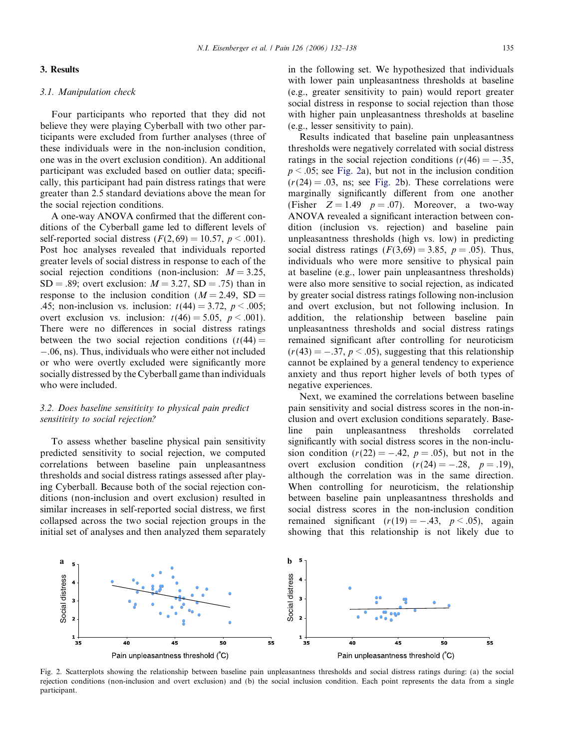## 3. Results

## 3.1. Manipulation check

Four participants who reported that they did not believe they were playing Cyberball with two other participants were excluded from further analyses (three of these individuals were in the non-inclusion condition, one was in the overt exclusion condition). An additional participant was excluded based on outlier data; specifically, this participant had pain distress ratings that were greater than 2.5 standard deviations above the mean for the social rejection conditions.

A one-way ANOVA confirmed that the different conditions of the Cyberball game led to different levels of self-reported social distress  $(F(2, 69) = 10.57, p \le 0.001)$ . Post hoc analyses revealed that individuals reported greater levels of social distress in response to each of the social rejection conditions (non-inclusion:  $M = 3.25$ ,  $SD = .89$ ; overt exclusion:  $M = 3.27$ ,  $SD = .75$ ) than in response to the inclusion condition ( $M = 2.49$ , SD = .45; non-inclusion vs. inclusion:  $t(44) = 3.72$ ,  $p < .005$ ; overt exclusion vs. inclusion:  $t(46) = 5.05$ ,  $p < .001$ ). There were no differences in social distress ratings between the two social rejection conditions  $(t(44) =$ -.06, ns). Thus, individuals who were either not included or who were overtly excluded were significantly more socially distressed by the Cyberball game than individuals who were included.

# 3.2. Does baseline sensitivity to physical pain predict sensitivity to social rejection?

To assess whether baseline physical pain sensitivity predicted sensitivity to social rejection, we computed correlations between baseline pain unpleasantness thresholds and social distress ratings assessed after playing Cyberball. Because both of the social rejection conditions (non-inclusion and overt exclusion) resulted in similar increases in self-reported social distress, we first collapsed across the two social rejection groups in the initial set of analyses and then analyzed them separately

 $a_{5}$ , b

in the following set. We hypothesized that individuals with lower pain unpleasantness thresholds at baseline (e.g., greater sensitivity to pain) would report greater social distress in response to social rejection than those with higher pain unpleasantness thresholds at baseline (e.g., lesser sensitivity to pain).

Results indicated that baseline pain unpleasantness thresholds were negatively correlated with social distress ratings in the social rejection conditions ( $r(46) = -.35$ ,  $p < .05$ ; see Fig. 2a), but not in the inclusion condition  $(r(24) = .03$ , ns; see Fig. 2b). These correlations were marginally significantly different from one another (Fisher  $Z = 1.49$   $p = .07$ ). Moreover, a two-way ANOVA revealed a significant interaction between condition (inclusion vs. rejection) and baseline pain unpleasantness thresholds (high vs. low) in predicting social distress ratings  $(F(3,69) = 3.85, p = .05)$ . Thus, individuals who were more sensitive to physical pain at baseline (e.g., lower pain unpleasantness thresholds) were also more sensitive to social rejection, as indicated by greater social distress ratings following non-inclusion and overt exclusion, but not following inclusion. In addition, the relationship between baseline pain unpleasantness thresholds and social distress ratings remained significant after controlling for neuroticism  $(r(43) = -.37, p \le .05)$ , suggesting that this relationship cannot be explained by a general tendency to experience anxiety and thus report higher levels of both types of negative experiences.

Next, we examined the correlations between baseline pain sensitivity and social distress scores in the non-inclusion and overt exclusion conditions separately. Baseline pain unpleasantness thresholds correlated significantly with social distress scores in the non-inclusion condition  $(r(22) = -.42, p = .05)$ , but not in the overt exclusion condition  $(r(24) = -.28, p = .19)$ , although the correlation was in the same direction. When controlling for neuroticism, the relationship between baseline pain unpleasantness thresholds and social distress scores in the non-inclusion condition remained significant  $(r(19) = -.43, p \le .05)$ , again showing that this relationship is not likely due to



5

rejection conditions (non-inclusion and overt exclusion) and (b) the social inclusion condition. Each point represents the data from a single participant.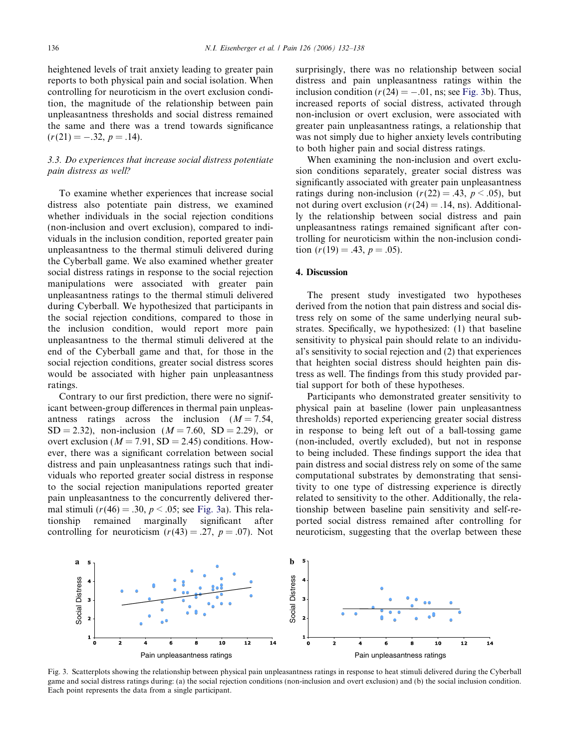heightened levels of trait anxiety leading to greater pain reports to both physical pain and social isolation. When controlling for neuroticism in the overt exclusion condition, the magnitude of the relationship between pain unpleasantness thresholds and social distress remained the same and there was a trend towards significance  $(r(21) = -.32, p = .14).$ 

# 3.3. Do experiences that increase social distress potentiate pain distress as well?

To examine whether experiences that increase social distress also potentiate pain distress, we examined whether individuals in the social rejection conditions (non-inclusion and overt exclusion), compared to individuals in the inclusion condition, reported greater pain unpleasantness to the thermal stimuli delivered during the Cyberball game. We also examined whether greater social distress ratings in response to the social rejection manipulations were associated with greater pain unpleasantness ratings to the thermal stimuli delivered during Cyberball. We hypothesized that participants in the social rejection conditions, compared to those in the inclusion condition, would report more pain unpleasantness to the thermal stimuli delivered at the end of the Cyberball game and that, for those in the social rejection conditions, greater social distress scores would be associated with higher pain unpleasantness ratings.

Contrary to our first prediction, there were no significant between-group differences in thermal pain unpleasantness ratings across the inclusion  $(M = 7.54,$  $SD = 2.32$ , non-inclusion  $(M = 7.60, SD = 2.29)$ , or overt exclusion ( $M = 7.91$ , SD = 2.45) conditions. However, there was a significant correlation between social distress and pain unpleasantness ratings such that individuals who reported greater social distress in response to the social rejection manipulations reported greater pain unpleasantness to the concurrently delivered thermal stimuli ( $r(46) = .30$ ,  $p < .05$ ; see Fig. 3a). This relationship remained marginally significant after controlling for neuroticism  $(r(43) = .27, p = .07)$ . Not surprisingly, there was no relationship between social distress and pain unpleasantness ratings within the inclusion condition ( $r(24) = -.01$ , ns; see Fig. 3b). Thus, increased reports of social distress, activated through non-inclusion or overt exclusion, were associated with greater pain unpleasantness ratings, a relationship that was not simply due to higher anxiety levels contributing to both higher pain and social distress ratings.

When examining the non-inclusion and overt exclusion conditions separately, greater social distress was significantly associated with greater pain unpleasantness ratings during non-inclusion ( $r(22) = .43$ ,  $p < .05$ ), but not during overt exclusion  $(r(24) = .14, \text{ ns})$ . Additionally the relationship between social distress and pain unpleasantness ratings remained significant after controlling for neuroticism within the non-inclusion condition  $(r(19) = .43, p = .05)$ .

## 4. Discussion

The present study investigated two hypotheses derived from the notion that pain distress and social distress rely on some of the same underlying neural substrates. Specifically, we hypothesized: (1) that baseline sensitivity to physical pain should relate to an individual's sensitivity to social rejection and (2) that experiences that heighten social distress should heighten pain distress as well. The findings from this study provided partial support for both of these hypotheses.

Participants who demonstrated greater sensitivity to physical pain at baseline (lower pain unpleasantness thresholds) reported experiencing greater social distress in response to being left out of a ball-tossing game (non-included, overtly excluded), but not in response to being included. These findings support the idea that pain distress and social distress rely on some of the same computational substrates by demonstrating that sensitivity to one type of distressing experience is directly related to sensitivity to the other. Additionally, the relationship between baseline pain sensitivity and self-reported social distress remained after controlling for neuroticism, suggesting that the overlap between these



Fig. 3. Scatterplots showing the relationship between physical pain unpleasantness ratings in response to heat stimuli delivered during the Cyberball game and social distress ratings during: (a) the social rejection conditions (non-inclusion and overt exclusion) and (b) the social inclusion condition. Each point represents the data from a single participant.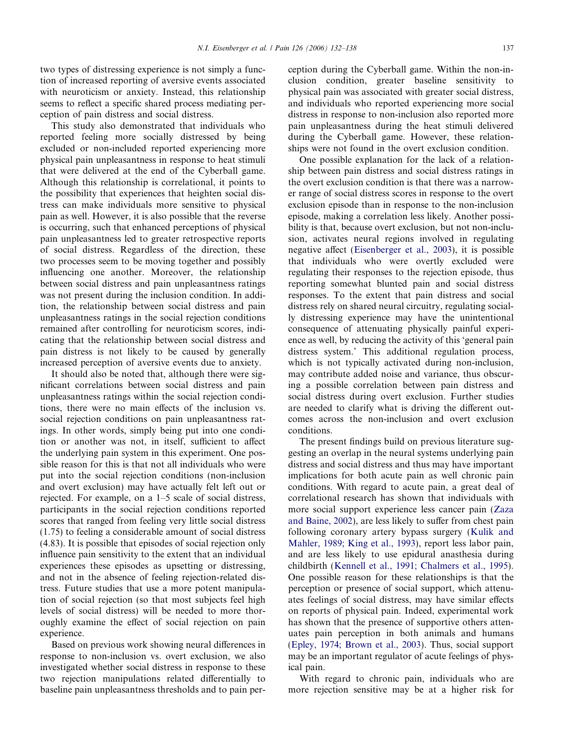two types of distressing experience is not simply a function of increased reporting of aversive events associated with neuroticism or anxiety. Instead, this relationship seems to reflect a specific shared process mediating perception of pain distress and social distress.

This study also demonstrated that individuals who reported feeling more socially distressed by being excluded or non-included reported experiencing more physical pain unpleasantness in response to heat stimuli that were delivered at the end of the Cyberball game. Although this relationship is correlational, it points to the possibility that experiences that heighten social distress can make individuals more sensitive to physical pain as well. However, it is also possible that the reverse is occurring, such that enhanced perceptions of physical pain unpleasantness led to greater retrospective reports of social distress. Regardless of the direction, these two processes seem to be moving together and possibly influencing one another. Moreover, the relationship between social distress and pain unpleasantness ratings was not present during the inclusion condition. In addition, the relationship between social distress and pain unpleasantness ratings in the social rejection conditions remained after controlling for neuroticism scores, indicating that the relationship between social distress and pain distress is not likely to be caused by generally increased perception of aversive events due to anxiety.

It should also be noted that, although there were significant correlations between social distress and pain unpleasantness ratings within the social rejection conditions, there were no main effects of the inclusion vs. social rejection conditions on pain unpleasantness ratings. In other words, simply being put into one condition or another was not, in itself, sufficient to affect the underlying pain system in this experiment. One possible reason for this is that not all individuals who were put into the social rejection conditions (non-inclusion and overt exclusion) may have actually felt left out or rejected. For example, on a 1–5 scale of social distress, participants in the social rejection conditions reported scores that ranged from feeling very little social distress (1.75) to feeling a considerable amount of social distress (4.83). It is possible that episodes of social rejection only influence pain sensitivity to the extent that an individual experiences these episodes as upsetting or distressing, and not in the absence of feeling rejection-related distress. Future studies that use a more potent manipulation of social rejection (so that most subjects feel high levels of social distress) will be needed to more thoroughly examine the effect of social rejection on pain experience.

Based on previous work showing neural differences in response to non-inclusion vs. overt exclusion, we also investigated whether social distress in response to these two rejection manipulations related differentially to baseline pain unpleasantness thresholds and to pain perception during the Cyberball game. Within the non-inclusion condition, greater baseline sensitivity to physical pain was associated with greater social distress, and individuals who reported experiencing more social distress in response to non-inclusion also reported more pain unpleasantness during the heat stimuli delivered during the Cyberball game. However, these relationships were not found in the overt exclusion condition.

One possible explanation for the lack of a relationship between pain distress and social distress ratings in the overt exclusion condition is that there was a narrower range of social distress scores in response to the overt exclusion episode than in response to the non-inclusion episode, making a correlation less likely. Another possibility is that, because overt exclusion, but not non-inclusion, activates neural regions involved in regulating negative affect [\(Eisenberger et al., 2003](#page-6-0)), it is possible that individuals who were overtly excluded were regulating their responses to the rejection episode, thus reporting somewhat blunted pain and social distress responses. To the extent that pain distress and social distress rely on shared neural circuitry, regulating socially distressing experience may have the unintentional consequence of attenuating physically painful experience as well, by reducing the activity of this 'general pain distress system.' This additional regulation process, which is not typically activated during non-inclusion, may contribute added noise and variance, thus obscuring a possible correlation between pain distress and social distress during overt exclusion. Further studies are needed to clarify what is driving the different outcomes across the non-inclusion and overt exclusion conditions.

The present findings build on previous literature suggesting an overlap in the neural systems underlying pain distress and social distress and thus may have important implications for both acute pain as well chronic pain conditions. With regard to acute pain, a great deal of correlational research has shown that individuals with more social support experience less cancer pain ([Zaza](#page-6-0) [and Baine, 2002\)](#page-6-0), are less likely to suffer from chest pain following coronary artery bypass surgery ([Kulik and](#page-6-0) [Mahler, 1989; King et al., 1993\)](#page-6-0), report less labor pain, and are less likely to use epidural anasthesia during childbirth [\(Kennell et al., 1991; Chalmers et al., 1995\)](#page-6-0). One possible reason for these relationships is that the perception or presence of social support, which attenuates feelings of social distress, may have similar effects on reports of physical pain. Indeed, experimental work has shown that the presence of supportive others attenuates pain perception in both animals and humans ([Epley, 1974; Brown et al., 2003](#page-6-0)). Thus, social support may be an important regulator of acute feelings of physical pain.

With regard to chronic pain, individuals who are more rejection sensitive may be at a higher risk for